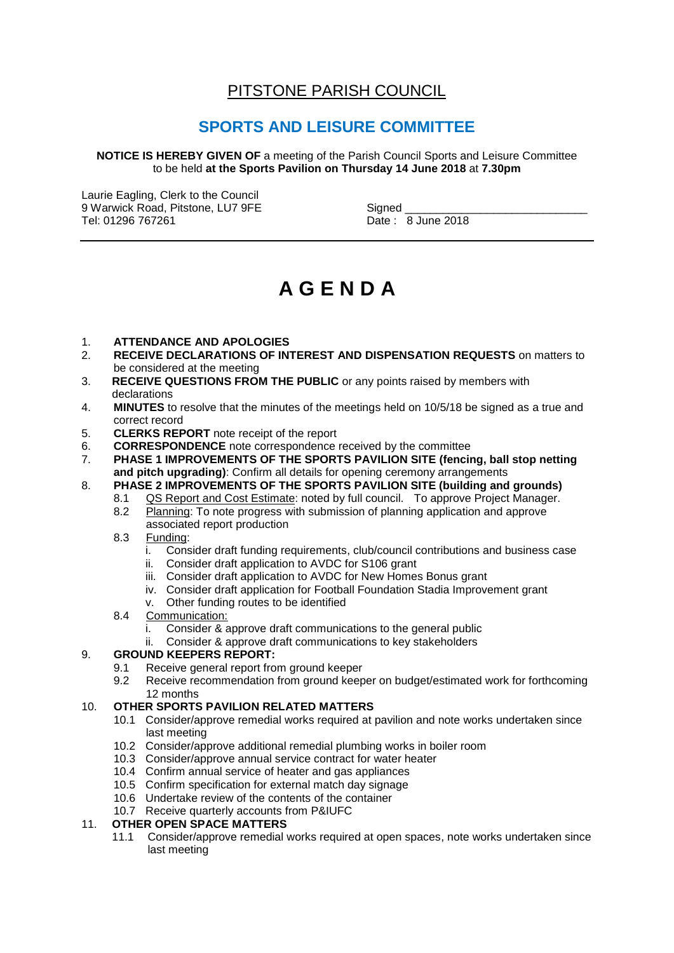# PITSTONE PARISH COUNCIL

# **SPORTS AND LEISURE COMMITTEE**

**NOTICE IS HEREBY GIVEN OF** a meeting of the Parish Council Sports and Leisure Committee to be held **at the Sports Pavilion on Thursday 14 June 2018** at **7.30pm**

Laurie Eagling, Clerk to the Council 9 Warwick Road, Pitstone, LU7 9FE Signed \_\_\_\_\_\_\_\_\_\_\_\_\_\_\_\_\_\_\_\_\_\_\_\_\_\_\_\_\_

Date: 8 June 2018

# **A G E N D A**

### 1. **ATTENDANCE AND APOLOGIES**

- 2. **RECEIVE DECLARATIONS OF INTEREST AND DISPENSATION REQUESTS** on matters to be considered at the meeting
- 3. **RECEIVE QUESTIONS FROM THE PUBLIC** or any points raised by members with declarations
- 4. **MINUTES** to resolve that the minutes of the meetings held on 10/5/18 be signed as a true and correct record
- 5. **CLERKS REPORT** note receipt of the report
- 6. **CORRESPONDENCE** note correspondence received by the committee
- 7. **PHASE 1 IMPROVEMENTS OF THE SPORTS PAVILION SITE (fencing, ball stop netting and pitch upgrading)**: Confirm all details for opening ceremony arrangements

## 8. **PHASE 2 IMPROVEMENTS OF THE SPORTS PAVILION SITE (building and grounds)**

- 8.1 QS Report and Cost Estimate: noted by full council. To approve Project Manager.
- 8.2 Planning: To note progress with submission of planning application and approve associated report production
- 8.3 Funding:
	- i. Consider draft funding requirements, club/council contributions and business case
	- ii. Consider draft application to AVDC for S106 grant
	- iii. Consider draft application to AVDC for New Homes Bonus grant
	- iv. Consider draft application for Football Foundation Stadia Improvement grant
	- v. Other funding routes to be identified
- 8.4 Communication:
	- i. Consider & approve draft communications to the general public
	- ii. Consider & approve draft communications to key stakeholders

### 9. **GROUND KEEPERS REPORT:**

- 9.1 Receive general report from ground keeper
- 9.2 Receive recommendation from ground keeper on budget/estimated work for forthcoming 12 months

### 10. **OTHER SPORTS PAVILION RELATED MATTERS**

- 10.1 Consider/approve remedial works required at pavilion and note works undertaken since last meeting
- 10.2 Consider/approve additional remedial plumbing works in boiler room
- 10.3 Consider/approve annual service contract for water heater
- 10.4 Confirm annual service of heater and gas appliances
- 10.5 Confirm specification for external match day signage
- 10.6 Undertake review of the contents of the container
- 10.7 Receive quarterly accounts from P&IUFC

## 11. **OTHER OPEN SPACE MATTERS**

11.1 Consider/approve remedial works required at open spaces, note works undertaken since last meeting